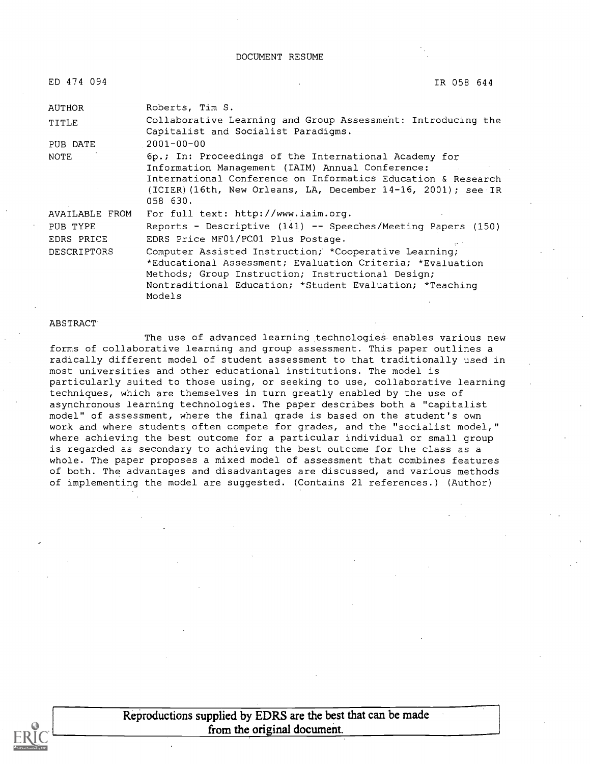| ED 474 094         | IR 058 644                                                                                                                                                                                                                                             |  |
|--------------------|--------------------------------------------------------------------------------------------------------------------------------------------------------------------------------------------------------------------------------------------------------|--|
| AUTHOR             | Roberts, Tim S.                                                                                                                                                                                                                                        |  |
| TITLE              | Collaborative Learning and Group Assessment: Introducing the<br>Capitalist and Socialist Paradigms.                                                                                                                                                    |  |
| PUB DATE           | $2001 - 00 - 00$                                                                                                                                                                                                                                       |  |
| NOTE               | 6p.; In: Proceedings of the International Academy for<br>Information Management (IAIM) Annual Conference:<br>International Conference on Informatics Education & Research<br>(ICIER) (16th, New Orleans, LA, December 14-16, 2001); see IR<br>058 630. |  |
| AVAILABLE FROM     | For full text: http://www.iaim.org.                                                                                                                                                                                                                    |  |
| PUB TYPE           | Reports - Descriptive (141) -- Speeches/Meeting Papers (150)                                                                                                                                                                                           |  |
| EDRS PRICE         | EDRS Price MF01/PC01 Plus Postage.                                                                                                                                                                                                                     |  |
| <b>DESCRIPTORS</b> | Computer Assisted Instruction; *Cooperative Learning;<br>*Educational Assessment; Evaluation Criteria; *Evaluation<br>Methods; Group Instruction; Instructional Design;<br>Nontraditional Education; *Student Evaluation; *Teaching<br>Models          |  |

#### **ABSTRACT**

The use of advanced learning technologies enables various new forms of collaborative learning and group assessment. This paper outlines a radically different model of student assessment to that traditionally used in most universities and other educational institutions. The model is particularly suited to those using, or seeking to use, collaborative learning techniques, which are themselves in turn greatly enabled by the use of asynchronous learning technologies. The paper describes both a "capitalist model" of assessment, where the final grade is based on the student's own work and where students often compete for grades, and the "socialist model," where achieving the best outcome for a particular individual or small group is regarded as secondary to achieving the best outcome for the class as a whole. The paper proposes a mixed model of assessment that combines features of both. The advantages and disadvantages are discussed, and various methods of implementing the model are suggested. (Contains 21 references.) (Author)



Reproductions supplied by EDRS are the best that can be made from the original document.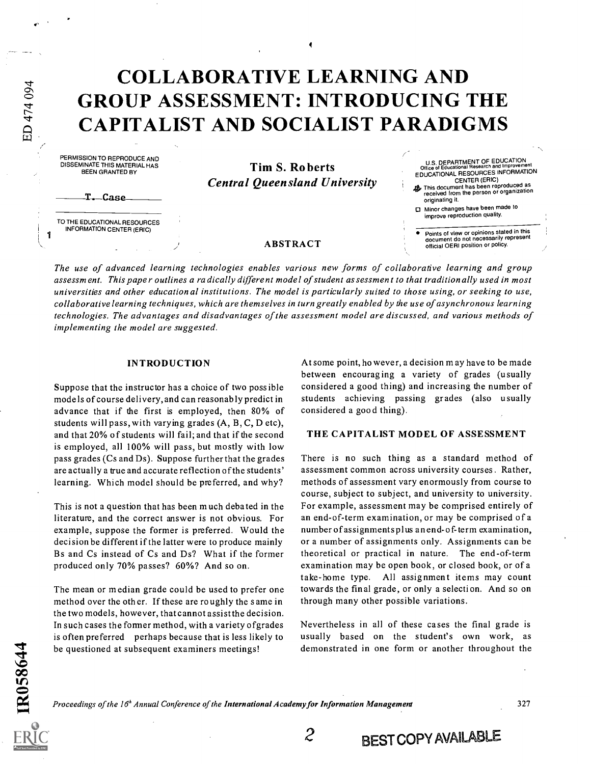## COLLABORATIVE LEARNING AND GROUP ASSESSMENT: INTRODUCING THE CAPITALIST AND SOCIALIST PARADIGMS

4

PERMISSION TO REPRODUCE AND DISSEMINATE THIS MATERIAL HAS BEEN GRANTED BY

ED 474 094

1

Tim S. Roberts Central Queensland University

T. Case

TO THE EDUCATIONAL RESOURCES INFORMATION CENTER (ERIC)

ABSTRACT

CENTER (ERIC) This document has been reproduced as received from the person or organization originating it.

U.S. DEPARTMENT OF EDUCATION Office of Educational Research and Improvement EDUCATIONAL RESOURCES INFORMATION

Minor changes have been made to improve reproduction quality.

Points of view or opinions stated in this document do not necessarily represent official OERI position or policy.

The use of advanced learning technologies enables various new forms of collaborative learning and group assessment. This paper outlines a radically different model of student assessment to that traditionally used in most universities and other educational institutions. The model is particularly suited to those using, or seeking to use, collaborative learning techniques, which are themselves in turn greatly enabled by the use of asynchronous learning technologies. The advantages and disadvantages of the assessment model are discussed, and various methods of implementing the model are suggested.

#### INTRODUCTION

Suppose that the instructor has a choice of two possible models of course delivery, and can reasonably predict in advance that if the first is employed, then 80% of students will pass, with varying grades (A, B, C, D etc), and that 20% of students will fail; and that if the second is employed, all 100% will pass, but mostly with low pass grades (Cs and Ds). Suppose further that the grades are actually a true and accurate reflection of the students' learning. Which model should be preferred, and why?

This is not a question that has been much debated in the literature, and the correct answer is not obvious. For example, suppose the former is preferred. Would the decision be different if the latter were to produce mainly Bs and Cs instead of Cs and Ds? What if the former produced only 70% passes? 60%? And so on.

The mean or median grade could be used to prefer one method over the other. If these are roughly the same in the two models, however, that cannot assist the decision. In such cases the former method, with a variety ofgrades is often preferred perhaps because that is less likely to be questioned at subsequent examiners meetings!

At some point, however, a decision m ay have to be made between encouraging a variety of grades (usually considered a good thing) and increasing the number of students achieving passing grades (also usually considered a goo d thing).

#### THE CAPITALIST MODEL OF ASSESSMENT

There is no such thing as a standard method of assessment common across university courses. Rather, methods of assessment vary enormously from course to course, subject to subject, and university to university. For example, assessment may be comprised entirely of an end-of-term examination, or may be comprised of a number of assignments plus an end- of- term examination, or a number of assignments only. Assignments can be theoretical or practical in nature. The end-of-term examination may be open book, or closed book, or of a take-home type. All assignment items may count towards the fin al grade, or only a selection. And so on through many other possible variations.

Nevertheless in all of these cases the final grade is usually based on the student's own work, as demonstrated in one form or another throughout the

2 BEST COPY AVAILABLE

Proceedings of the 16<sup>h</sup> Annual Conference of the International Academy for Information Management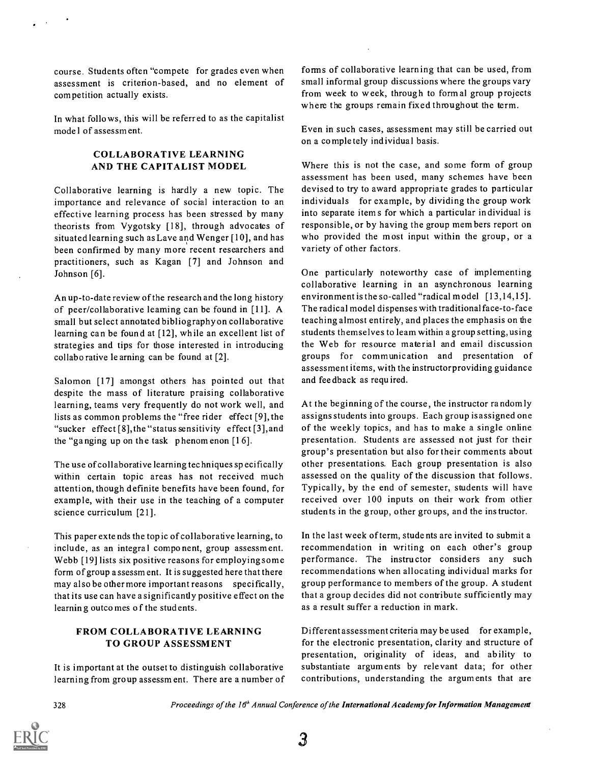course. Students often "compete for grades even when assessment is criterion-based, and no element of competition actually exists.

In what follows, this will be referred to as the capitalist mode I of assessm ent.

### COLLABORATIVE LEARNING AND THE CAPITALIST MODEL

Collaborative learning is hardly a new topic. The importance and relevance of social interaction to an effective learning process has been stressed by many theorists from Vygotsky [18], through advocates of situated learning such as Lave and Wenger [10], and has been confirmed by many more recent researchers and practitioners, such as Kagan [7] and Johnson and Johnson [6].

An up-to-date review of the research and the long history of peer/collaborative leaming can be found in [11]. A small but select annotated bibliography on collaborative learning can be found at [12], while an excellent list of strategies and tips for those interested in introducing collaborative le arning can be found at [2].

Salomon [17] amongst others has pointed out that despite the mass of literature praising collaborative learning, teams very frequently do not work well, and lists as common problems the "free rider effect [9], the "sucker effect [8],the "status sensitivity effect [3],and the "ganging up on the task phenomenon  $[16]$ .

The use of collaborative learning tec hniques specifically within certain topic areas has not received much attention, though definite benefits have been found, for example, with their use in the teaching of a computer science curriculum [21].

This paper extends the top ic of collaborative learning, to include, as an integral component, group assessment. Webb [19] lists six positive reasons for employing some form of group a ssessm ent. It is suggested here that there may also be other more important reasons specifically, that its use can have a significantly positive effect on the learning outcomes o f the students.

### FROM COLLABORATIVE LEARNING TO GROUP ASSESSMENT

It is important at the outset to distinguish collaborative learning from group assessm ent. There are a number of forms of collaborative learning that can be used, from small informal group discussions where the groups vary from week to week, through to formal group projects where the groups remain fixed throughout the term.

Even in such cases, assessment may still be carried out on a completely individual basis.

Where this is not the case, and some form of group assessment has been used, many schemes have been devised to try to award appropriate grades to particular individuals for example, by dividing the group work into separate item s for which a particular individual is responsible, or by having the group members report on who provided the most input within the group, or a variety of other factors.

One particularly noteworthy case of implementing collaborative learning in an asynchronous learning environment is the so-called "radical model [13,14,15]. The radical model dispenses with traditional face-to-face teaching almost entirely, and places the emphasis on the students themselves to learn within a group setting, using the Web for resource material and email discussion groups for communication and presentation of assessment items, with the instructorproviding guidance and feedback as required.

At the beginning of the course, the instructor random ly assigns students into groups. Each group is assigned one of the weekly topics, and has to make a single online presentation. Students are assessed not just for their group's presentation but also for their comments about other presentations. Each group presentation is also assessed on the quality of the discussion that follows. Typically, by the end of semester, students will have received over 100 inputs on their work from other students in the group, other groups, and the ins tructor.

In the last week of term, students are invited to submit a recommendation in writing on each other's group performance. The instructor considers any such recommendations when allocating individual marks for group performance to members of the group. A student that a group decides did not contribute sufficiently may as a result suffer a reduction in mark.

Different assessment criteria may be used for example, for the electronic presentation, clarity and structure of presentation, originality of ideas, and ability to substantiate arguments by relevant data; for other contributions, understanding the arguments that are

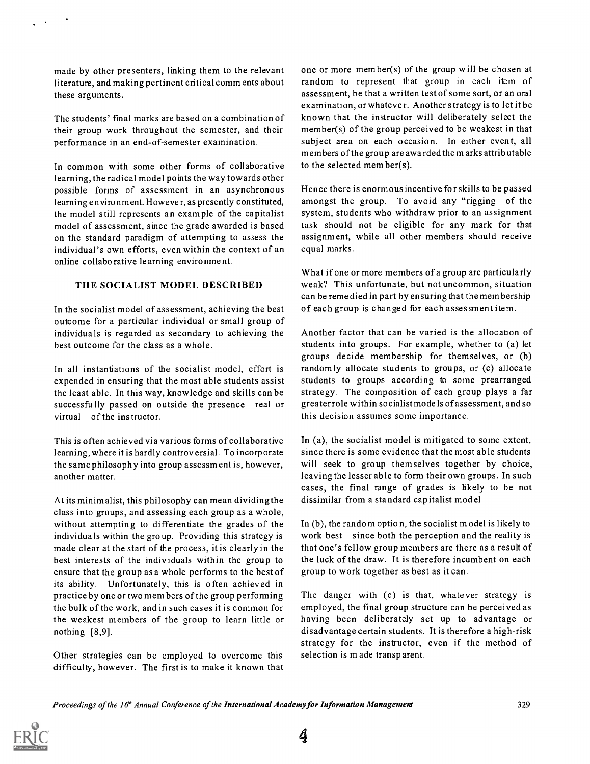made by other presenters, linking them to the relevant literature, and making pertinent critical comm ents about these arguments.

The students' final marks are based on a combination of their group work throughout the semester, and their performance in an end-of-semester examination.

In common with some other forms of collaborative learning, the radical model points the way towards other possible forms of assessment in an asynchronous learning environment. However, as presently constituted, the model still represents an example of the capitalist model of assessment, since the grade awarded is based on the standard paradigm of attempting to assess the individual's own efforts, even within the context of an online collaborative learning environment.

### THE SOCIALIST MODEL DESCRIBED

In the socialist model of assessment, achieving the best outcome for a particular individual or small group of individuals is regarded as secondary to achieving the best outcome for the class as a whole.

In all instantiations of the socialist model, effort is expended in ensuring that the most able students assist the least able. In this way, knowledge and skills can be successfully passed on outside the presence real or virtual of the instructor.

This is often achieved via various forms of collaborative learning, where it is hardly controversial. To incorporate the same philosoph y into group assessment is, however, another matter.

At its minim alist, this philosophy can mean dividing the class into groups, and assessing each group as a whole, without attempting to differentiate the grades of the individuals within the group. Providing this strategy is made clear at the start of the process, it is clearly in the best interests of the individuals within the group to ensure that the group as a whole performs to the best of its ability. Unfortunately, this is often achieved in practice by one or two mem bers of the group performing the bulk of the work, and in such cases it is common for the weakest members of the group to learn little or nothing [8,9].

Other strategies can be employed to overcome this difficulty, however. The first is to make it known that one or more member(s) of the group will be chosen at random to represent that group in each item of assessment, be that a written test of some sort, or an oral examination, or whatever. Another strategy is to let it be known that the instructor will deliberately select the member(s) of the group perceived to be weakest in that subject area on each occasion. In either event, all members of the group are awarded the m arks attributable to the selected mem ber(s).

Hence there is enormous incentive for skills to be passed amongst the group. To avoid any "rigging of the system, students who withdraw prior to an assignment task should not be eligible for any mark for that assignment, while all other members should receive equal marks.

What if one or more members of a group are particularly weak? This unfortunate, but not uncommon, situation can be reme died in part by ensuring that the mem bership of each group is changed for each assessment item.

Another factor that can be varied is the allocation of students into groups. For example, whether to (a) let groups decide membership for themselves, or (b) random ly allocate students to groups, or (c) allocate students to groups according to some prearranged strategy. The composition of each group plays a far greater role within socialist mode is of assessment, and so this decision assumes some importance.

In (a), the socialist model is mitigated to some extent, since there is some evidence that the most able students will seek to group themselves together by choice, leaving the lesser able to form their own groups. In such cases, the final range of grades is likely to be not dissimilar from a standard cap italist model.

In (b), the random option, the socialist model is likely to work best since both the perception and the reality is that one's fellow group members are there as a result of the luck of the draw. It is therefore incumbent on each group to work together as best as it can.

The danger with (c) is that, whatever strategy is employed, the final group structure can be perceived as having been deliberately set up to advantage or disadvantage certain students. It is therefore a high-risk strategy for the instructor, even if the method of selection is made transparent.

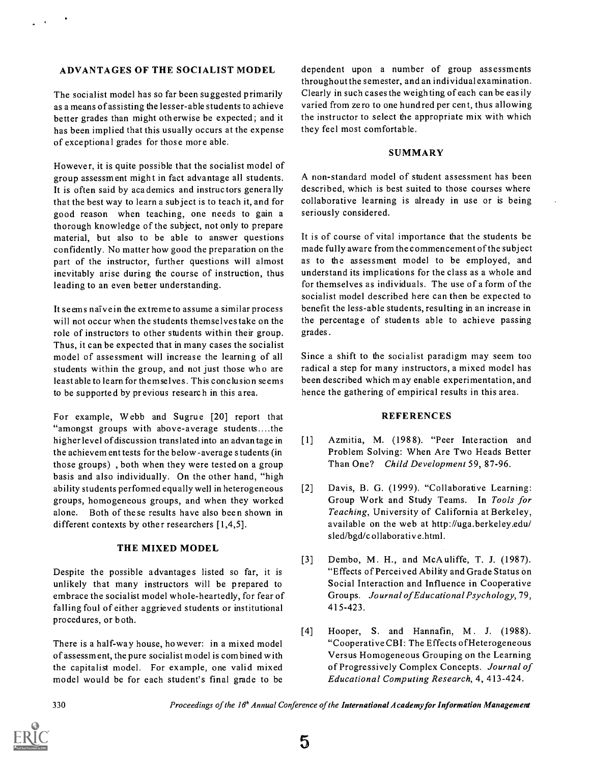#### ADVANTAGES OF THE SOCIALIST MODEL

The socialist model has so far been suggested primarily as a means of assisting the lesser-able students to achieve better grades than might otherwise be expected; and it has been implied that this usually occurs at the expense of exceptional grades for those more able.

However, it is quite possible that the socialist model of group assessment might in fact advantage all students. It is often said by academics and instructors generally that the best way to learn a subject is to teach it, and for good reason when teaching, one needs to gain a thorough knowledge of the subject, not only to prepare material, but also to be able to answer questions confidently. No matter how good the preparation on the part of the instructor, further questions will almost inevitably arise during the course of instruction, thus leading to an even better understanding.

It seems naive in the extreme to assume a similar process will not occur when the students themselves take on the role of instructors to other students within their group. Thus, it can be expected that in many cases the socialist model of assessment will increase the learning of all students within the group, and not just those who are least able to learn for themselves. This conclusion seems to be supported by previous research in this area.

For example, Webb and Sugrue [20] report that "amongst groups with above-average students ....the higher level of discussion translated into an advantage in [1] the achievem ent tests for the below -average students (in those groups) , both when they were tested on a group basis and also individually. On the other hand, "high ability students performed equally well in heterogeneous [2] groups, homogeneous groups, and when they worked alone. Both of these results have also been shown in different contexts by other researchers [1,4,5].

#### THE MIXED MODEL

Despite the possible advantages listed so far, it is unlikely that many instructors will be prepared to embrace the socialist model whole-heartedly, for fear of falling foul of either aggrieved students or institutional procedures, or both.

There is a half-way house, however: in a mixed model of assessm ent, the pure socialist model is com bined with the capitalist model. For example, one valid mixed model would be for each student's final grade to be

dependent upon a number of group assessments throughout the semester, and an individual examination. Clearly in such cases the weighting of each can be easily varied from zero to one hundred per cent, thus allowing the instructor to select the appropriate mix with which they feel most comfortable.

#### **SUMMARY**

A non-standard model of student assessment has been described, which is best suited to those courses where collaborative learning is already in use or is being seriously considered.

It is of course of vital importance that the students be made fully aware from the commencement of the subject as to the assessment model to be employed, and understand its implications for the class as a whole and for themselves as individuals. The use of a form of the socialist model described here can then be expected to benefit the less-able students, resulting in an increase in the percentage of students able to achieve passing grades.

Since a shift to the socialist paradigm may seem too radical a step for many instructors, a mixed model has been described which m ay enable experimentation, and hence the gathering of empirical results in this area.

#### **REFERENCES**

- [1] Azmitia, M. (1988). "Peer Interaction and Problem Solving: When Are Two Heads Better Than One? Child Development 59, 87-96.
- Davis, B. G. (1999). "Collaborative Learning: Group Work and Study Teams. In Tools for Teaching, University of California at Berkeley, available on the web at http://uga.berkeley.edu/ sled/bgd/c ollaborativ e.html.
- [3] Dembo, M. H., and McAuliffe, T. J. (1987). "Effects of Perceived Ability and Grade Status on Social Interaction and Influence in Cooperative Groups. Journal of Educational Psychology, 79, 415-423.
- [4] Hooper, S. and Hannafin, M. J. (1988). "Cooperative CBI: The Effects ofHeterogeneous Versus Homogeneous Grouping on the Learning of Progressively Complex Concepts. Journal of Educational Computing Research, 4, 413-424.

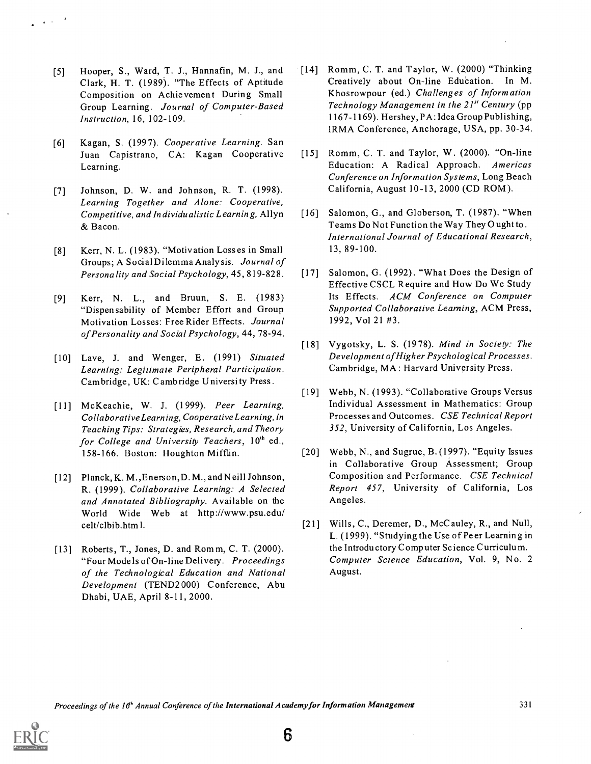- [5] Hooper, S., Ward, T. J., Hannafin, M. J., and Clark, H. T. (1989). "The Effects of Aptitude Composition on Achievement During Small Group Learning. Journal of Computer-Based Instruction, 16, 102-109.
- [6] Kagan, S. (1997). Cooperative Learning. San Juan Capistrano, CA: Kagan Cooperative Learning.
- [7] Johnson, D. W. and Johnson, R. T. (1998). Learning Together and Alone: Cooperative, Competitive, and Individualistic Learning, Allyn & Bacon.
- [8] Kerr, N. L. (1983). "Motivation Losses in Small Groups; A SocialDilemma Analysis. Journal of Personality and Social Psychology, 45, 819-828.
- [9] Kerr, N. L., and Bruun, S. E. (1983) "Dispensability of Member Effort and Group Motivation Losses: Free Rider Effects. Journal of Personality and Social Psychology, 44, 78-94.
- [10] Lave, J. and Wenger, E. (1991) Situated Learning: Legitimate Peripheral Participation. Cambridge, UK: Cambridge University Press.
- [11] McKeachie, W. J. (1999). Peer Learning, Collaborative Learning, Cooperative Learning, in Teaching Tips: Strategies, Research, and Theory for College and University Teachers,  $10^{th}$  ed., 158-166. Boston: Houghton Mifflin.
- [12] Planck, K. M., Enerson, D. M., and N eill Johnson, R. (1999). Collaborative Learning: A Selected and Annotated Bibliography. Available on the World Wide Web at http://www.psu.edu/ celt /clbib.htm I.
- [13] Roberts, T., Jones, D. and Rom m, C. T. (2000). "Four Mode is of On-line Delivery. Proceedings of the Technological Education and National Development (TEND2000) Conference, Abu Dhabi, UAE, April 8-11, 2000.
- [14] Romm, C. T. and Taylor, W. (2000) "Thinking Creatively about On-line Education. In M. Khosrowpour (ed.) Challenges of Inform ation Technology Management in the  $21^{st}$  Century (pp 1167-1169). Hershey, PA: Idea Group Publishing, IRMA Conference, Anchorage, USA, pp. 30-34.
- [15] Romm, C. T. and Taylor, W. (2000). "On-line Education: A Radical Approach. Americas Conference on Information Systems, Long Beach California, August 10 -13, 2000 (CD ROM).
- [16] Salomon, G., and Globerson, T. (1987). "When Teams Do Not Function the Way They Ought to. International Journal of Educational Research, 13, 89-100.
- [17] Salomon, G. (1992). "What Does the Design of Effective CSCL Require and How Do We Study Its Effects. ACM Conference on Computer Supported Collaborative Learning, ACM Press, 1992, Vol 21 #3.
- [18] Vygotsky, L. S. (1978). Mind in Society: The Development ofHigher Psychological Processes. Cambridge, MA: Harvard University Press.
- [19] Webb, N. (1993). "Collaborative Groups Versus Individual Assessment in Mathematics: Group Processes and Outcomes. CSE Technical Report 352, University of California, Los Angeles.
- [20] Webb, N., and Sugrue, B. (1997). "Equity Issues in Collaborative Group Assessment; Group Composition and Performance. CSE Technical Report 457, University of California, Los Angeles.
- [21] Wills, C., Deremer, D., McCauley, R., and Null, L. (1999). "Studying the Use of Peer Learning in the Introductory Computer Science Curriculum. Computer Science Education, Vol. 9, No. 2 August.